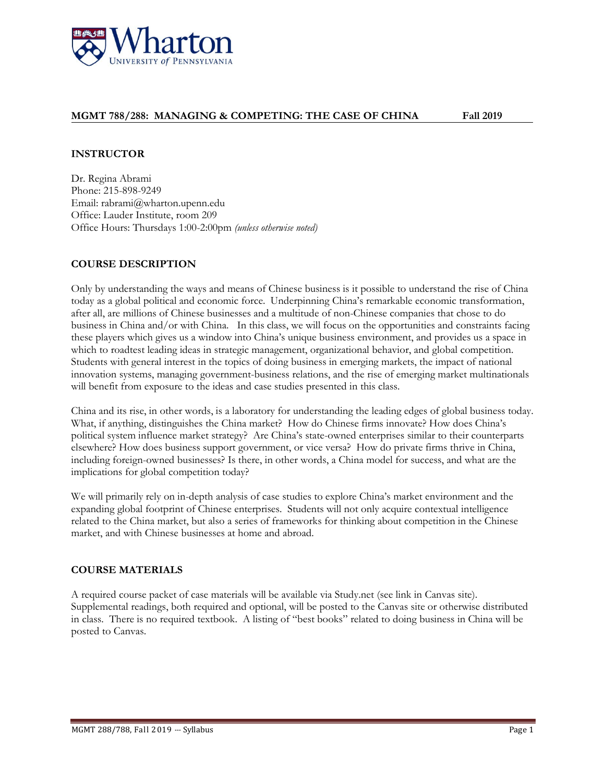

# **MGMT 788/288: MANAGING & COMPETING: THE CASE OF CHINA Fall 2019**

## **INSTRUCTOR**

Dr. Regina Abrami Phone: 215-898-9249 Email: rabrami@wharton.upenn.edu Office: Lauder Institute, room 209 Office Hours: Thursdays 1:00-2:00pm *(unless otherwise noted)*

# **COURSE DESCRIPTION**

Only by understanding the ways and means of Chinese business is it possible to understand the rise of China today as a global political and economic force. Underpinning China's remarkable economic transformation, after all, are millions of Chinese businesses and a multitude of non-Chinese companies that chose to do business in China and/or with China. In this class, we will focus on the opportunities and constraints facing these players which gives us a window into China's unique business environment, and provides us a space in which to roadtest leading ideas in strategic management, organizational behavior, and global competition. Students with general interest in the topics of doing business in emerging markets, the impact of national innovation systems, managing government-business relations, and the rise of emerging market multinationals will benefit from exposure to the ideas and case studies presented in this class.

China and its rise, in other words, is a laboratory for understanding the leading edges of global business today. What, if anything, distinguishes the China market? How do Chinese firms innovate? How does China's political system influence market strategy? Are China's state-owned enterprises similar to their counterparts elsewhere? How does business support government, or vice versa? How do private firms thrive in China, including foreign-owned businesses? Is there, in other words, a China model for success, and what are the implications for global competition today?

We will primarily rely on in-depth analysis of case studies to explore China's market environment and the expanding global footprint of Chinese enterprises. Students will not only acquire contextual intelligence related to the China market, but also a series of frameworks for thinking about competition in the Chinese market, and with Chinese businesses at home and abroad.

# **COURSE MATERIALS**

A required course packet of case materials will be available via Study.net (see link in Canvas site). Supplemental readings, both required and optional, will be posted to the Canvas site or otherwise distributed in class. There is no required textbook. A listing of "best books" related to doing business in China will be posted to Canvas.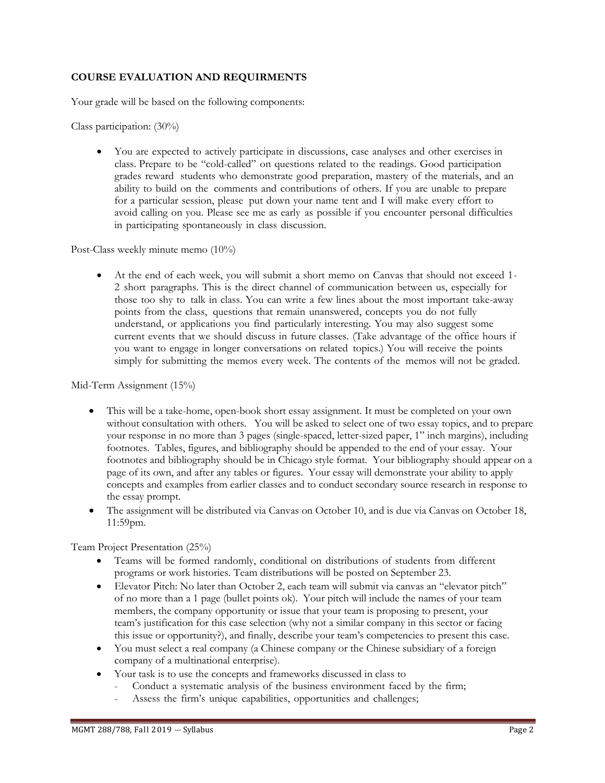# **COURSE EVALUATION AND REQUIRMENTS**

Your grade will be based on the following components:

Class participation: (30%)

• You are expected to actively participate in discussions, case analyses and other exercises in class. Prepare to be "cold-called" on questions related to the readings. Good participation grades reward students who demonstrate good preparation, mastery of the materials, and an ability to build on the comments and contributions of others. If you are unable to prepare for a particular session, please put down your name tent and I will make every effort to avoid calling on you. Please see me as early as possible if you encounter personal difficulties in participating spontaneously in class discussion.

Post-Class weekly minute memo (10%)

• At the end of each week, you will submit a short memo on Canvas that should not exceed 1- 2 short paragraphs. This is the direct channel of communication between us, especially for those too shy to talk in class. You can write a few lines about the most important take-away points from the class, questions that remain unanswered, concepts you do not fully understand, or applications you find particularly interesting. You may also suggest some current events that we should discuss in future classes. (Take advantage of the office hours if you want to engage in longer conversations on related topics.) You will receive the points simply for submitting the memos every week. The contents of the memos will not be graded.

Mid-Term Assignment (15%)

- This will be a take-home, open-book short essay assignment. It must be completed on your own without consultation with others. You will be asked to select one of two essay topics, and to prepare your response in no more than 3 pages (single-spaced, letter-sized paper, 1" inch margins), including footnotes. Tables, figures, and bibliography should be appended to the end of your essay. Your footnotes and bibliography should be in Chicago style format. Your bibliography should appear on a page of its own, and after any tables or figures. Your essay will demonstrate your ability to apply concepts and examples from earlier classes and to conduct secondary source research in response to the essay prompt.
- The assignment will be distributed via Canvas on October 10, and is due via Canvas on October 18, 11:59pm.

Team Project Presentation (25%)

- Teams will be formed randomly, conditional on distributions of students from different programs or work histories. Team distributions will be posted on September 23.
- Elevator Pitch: No later than October 2, each team will submit via canvas an "elevator pitch" of no more than a 1 page (bullet points ok). Your pitch will include the names of your team members, the company opportunity or issue that your team is proposing to present, your team's justification for this case selection (why not a similar company in this sector or facing this issue or opportunity?), and finally, describe your team's competencies to present this case.
- You must select a real company (a Chinese company or the Chinese subsidiary of a foreign company of a multinational enterprise).
- Your task is to use the concepts and frameworks discussed in class to
	- Conduct a systematic analysis of the business environment faced by the firm;
	- Assess the firm's unique capabilities, opportunities and challenges;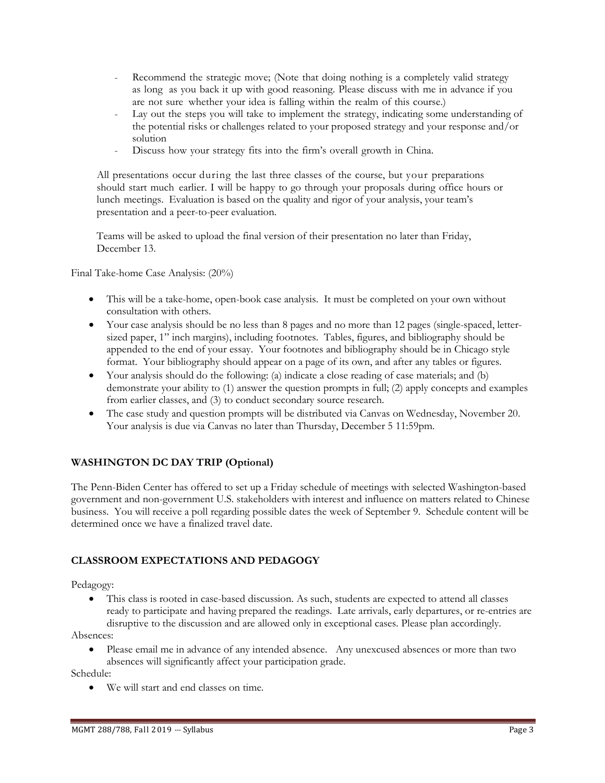- Recommend the strategic move; (Note that doing nothing is a completely valid strategy as long as you back it up with good reasoning. Please discuss with me in advance if you are not sure whether your idea is falling within the realm of this course.)
- Lay out the steps you will take to implement the strategy, indicating some understanding of the potential risks or challenges related to your proposed strategy and your response and/or solution
- Discuss how your strategy fits into the firm's overall growth in China.

All presentations occur during the last three classes of the course, but your preparations should start much earlier. I will be happy to go through your proposals during office hours or lunch meetings. Evaluation is based on the quality and rigor of your analysis, your team's presentation and a peer-to-peer evaluation.

Teams will be asked to upload the final version of their presentation no later than Friday, December 13.

Final Take-home Case Analysis: (20%)

- This will be a take-home, open-book case analysis. It must be completed on your own without consultation with others.
- Your case analysis should be no less than 8 pages and no more than 12 pages (single-spaced, lettersized paper, 1" inch margins), including footnotes. Tables, figures, and bibliography should be appended to the end of your essay. Your footnotes and bibliography should be in Chicago style format. Your bibliography should appear on a page of its own, and after any tables or figures.
- Your analysis should do the following: (a) indicate a close reading of case materials; and (b) demonstrate your ability to (1) answer the question prompts in full; (2) apply concepts and examples from earlier classes, and (3) to conduct secondary source research.
- The case study and question prompts will be distributed via Canvas on Wednesday, November 20. Your analysis is due via Canvas no later than Thursday, December 5 11:59pm.

# **WASHINGTON DC DAY TRIP (Optional)**

The Penn-Biden Center has offered to set up a Friday schedule of meetings with selected Washington-based government and non-government U.S. stakeholders with interest and influence on matters related to Chinese business. You will receive a poll regarding possible dates the week of September 9. Schedule content will be determined once we have a finalized travel date.

# **CLASSROOM EXPECTATIONS AND PEDAGOGY**

Pedagogy:

• This class is rooted in case-based discussion. As such, students are expected to attend all classes ready to participate and having prepared the readings. Late arrivals, early departures, or re-entries are disruptive to the discussion and are allowed only in exceptional cases. Please plan accordingly.

Absences:

- Please email me in advance of any intended absence. Any unexcused absences or more than two
	- absences will significantly affect your participation grade.

Schedule:

• We will start and end classes on time.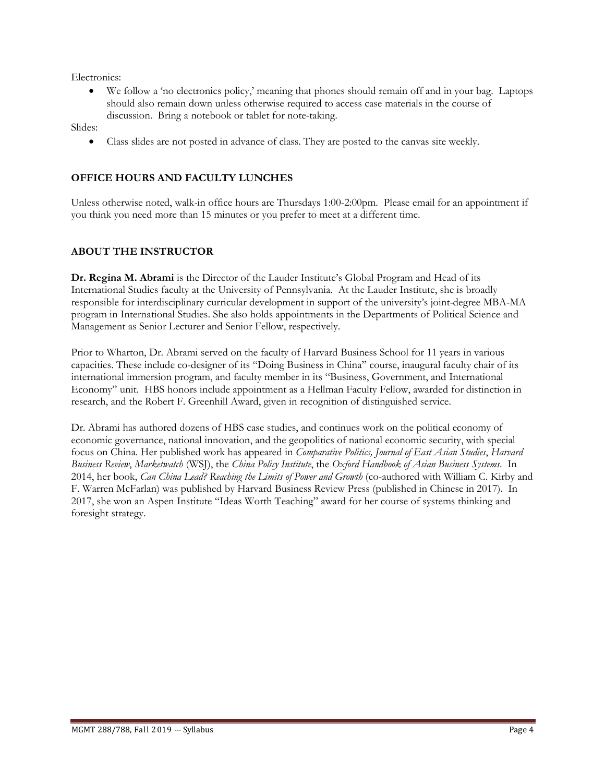Electronics:

• We follow a 'no electronics policy,' meaning that phones should remain off and in your bag. Laptops should also remain down unless otherwise required to access case materials in the course of discussion. Bring a notebook or tablet for note-taking.

Slides:

• Class slides are not posted in advance of class. They are posted to the canvas site weekly.

# **OFFICE HOURS AND FACULTY LUNCHES**

Unless otherwise noted, walk-in office hours are Thursdays 1:00-2:00pm. Please email for an appointment if you think you need more than 15 minutes or you prefer to meet at a different time.

# **ABOUT THE INSTRUCTOR**

**Dr. Regina M. Abrami** is the Director of the Lauder Institute's Global Program and Head of its International Studies faculty at the University of Pennsylvania. At the Lauder Institute, she is broadly responsible for interdisciplinary curricular development in support of the university's joint-degree MBA-MA program in International Studies. She also holds appointments in the Departments of Political Science and Management as Senior Lecturer and Senior Fellow, respectively.

Prior to Wharton, Dr. Abrami served on the faculty of Harvard Business School for 11 years in various capacities. These include co-designer of its "Doing Business in China" course, inaugural faculty chair of its international immersion program, and faculty member in its "Business, Government, and International Economy" unit. HBS honors include appointment as a Hellman Faculty Fellow, awarded for distinction in research, and the Robert F. Greenhill Award, given in recognition of distinguished service.

Dr. Abrami has authored dozens of HBS case studies, and continues work on the political economy of economic governance, national innovation, and the geopolitics of national economic security, with special focus on China. Her published work has appeared in *Comparative Politics, Journal of East Asian Studies*, *Harvard Business Review*, *Marketwatch* (WSJ), the *China Policy Institute*, the *Oxford Handbook of Asian Business Systems*. In 2014, her book, *Can China Lead? Reaching the Limits of Power and Growth* (co-authored with William C. Kirby and F. Warren McFarlan) was published by Harvard Business Review Press (published in Chinese in 2017). In 2017, she won an Aspen Institute "Ideas Worth Teaching" award for her course of systems thinking and foresight strategy.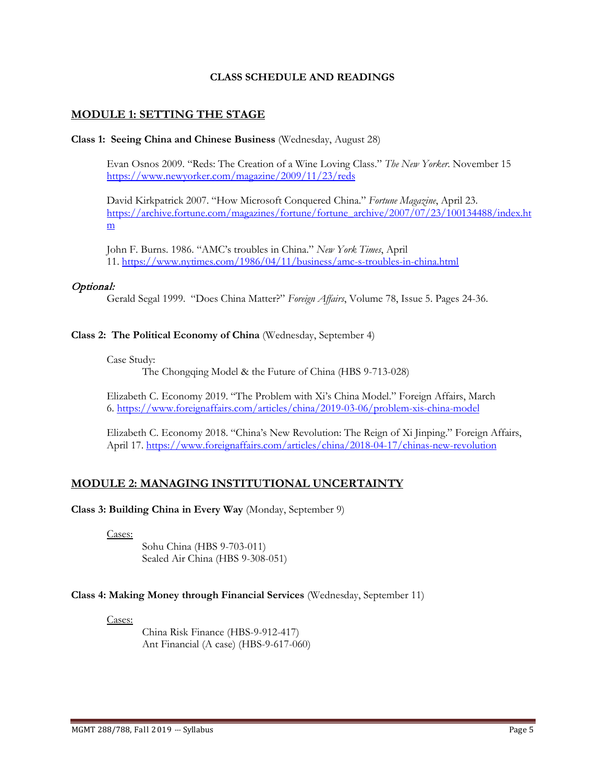## **CLASS SCHEDULE AND READINGS**

# **MODULE 1: SETTING THE STAGE**

### **Class 1: Seeing China and Chinese Business** (Wednesday, August 28)

Evan Osnos 2009. "Reds: The Creation of a Wine Loving Class." *The New Yorker*. November 15 <https://www.newyorker.com/magazine/2009/11/23/reds>

David Kirkpatrick 2007. "How Microsoft Conquered China." *Fortune Magazine*, April 23. [https://archive.fortune.com/magazines/fortune/fortune\\_archive/2007/07/23/100134488/index.ht](https://archive.fortune.com/magazines/fortune/fortune_archive/2007/07/23/100134488/index.htm) [m](https://archive.fortune.com/magazines/fortune/fortune_archive/2007/07/23/100134488/index.htm)

John F. Burns. 1986. "AMC's troubles in China." *New York Times*, April 11.<https://www.nytimes.com/1986/04/11/business/amc-s-troubles-in-china.html>

### Optional:

Gerald Segal 1999. "Does China Matter?" *Foreign Affairs*, Volume 78, Issue 5. Pages 24-36.

#### **Class 2: The Political Economy of China** (Wednesday, September 4)

Case Study:

The Chongqing Model & the Future of China (HBS 9-713-028)

Elizabeth C. Economy 2019. "The Problem with Xi's China Model." Foreign Affairs, March 6.<https://www.foreignaffairs.com/articles/china/2019-03-06/problem-xis-china-model>

Elizabeth C. Economy 2018. "China's New Revolution: The Reign of Xi Jinping." Foreign Affairs, April 17.<https://www.foreignaffairs.com/articles/china/2018-04-17/chinas-new-revolution>

# **MODULE 2: MANAGING INSTITUTIONAL UNCERTAINTY**

### **Class 3: Building China in Every Way** (Monday, September 9)

Cases:

Sohu China (HBS 9-703-011) Sealed Air China (HBS 9-308-051)

# **Class 4: Making Money through Financial Services** (Wednesday, September 11)

Cases:

China Risk Finance (HBS-9-912-417) Ant Financial (A case) (HBS-9-617-060)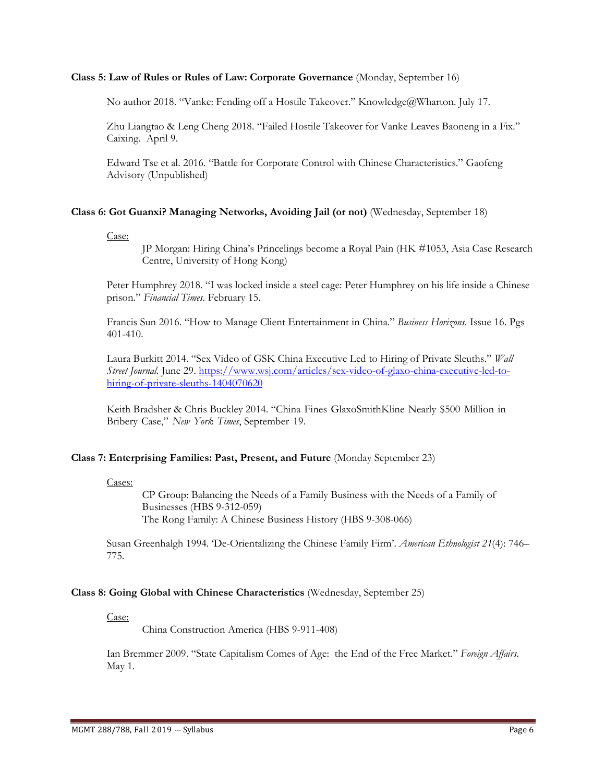### **Class 5: Law of Rules or Rules of Law: Corporate Governance** (Monday, September 16)

No author 2018. "Vanke: Fending off a Hostile Takeover." Knowledge@Wharton. July 17.

Zhu Liangtao & Leng Cheng 2018. "Failed Hostile Takeover for Vanke Leaves Baoneng in a Fix." Caixing. April 9.

Edward Tse et al. 2016. "Battle for Corporate Control with Chinese Characteristics." Gaofeng Advisory (Unpublished)

### **Class 6: Got Guanxi? Managing Networks, Avoiding Jail (or not)** (Wednesday, September 18)

Case:

JP Morgan: Hiring China's Princelings become a Royal Pain (HK #1053, Asia Case Research Centre, University of Hong Kong)

Peter Humphrey 2018. "I was locked inside a steel cage: Peter Humphrey on his life inside a Chinese prison." *Financial Times*. February 15.

Francis Sun 2016. "How to Manage Client Entertainment in China." *Business Horizons*. Issue 16. Pgs 401-410.

Laura Burkitt 2014. "Sex Video of GSK China Executive Led to Hiring of Private Sleuths." *Wall Street Journal.* June 29. [https://www.wsj.com/articles/sex-video-of-glaxo-china-executive-led-to](https://www.wsj.com/articles/sex-video-of-glaxo-china-executive-led-to-hiring-of-private-sleuths-1404070620)[hiring-of-private-sleuths-1404070620](https://www.wsj.com/articles/sex-video-of-glaxo-china-executive-led-to-hiring-of-private-sleuths-1404070620)

Keith Bradsher & Chris Buckley 2014. "China Fines GlaxoSmithKline Nearly \$500 Million in Bribery Case," *New York Times*, September 19.

### **Class 7: Enterprising Families: Past, Present, and Future** (Monday September 23)

#### Cases:

CP Group: Balancing the Needs of a Family Business with the Needs of a Family of Businesses (HBS 9-312-059) The Rong Family: A Chinese Business History (HBS 9-308-066)

Susan Greenhalgh 1994. 'De-Orientalizing the Chinese Family Firm'. *American Ethnologist 21*(4): 746– 775.

### **Class 8: Going Global with Chinese Characteristics** (Wednesday, September 25)

Case:

China Construction America (HBS 9-911-408)

Ian Bremmer 2009. "State Capitalism Comes of Age: the End of the Free Market." *Foreign Affairs*. May 1.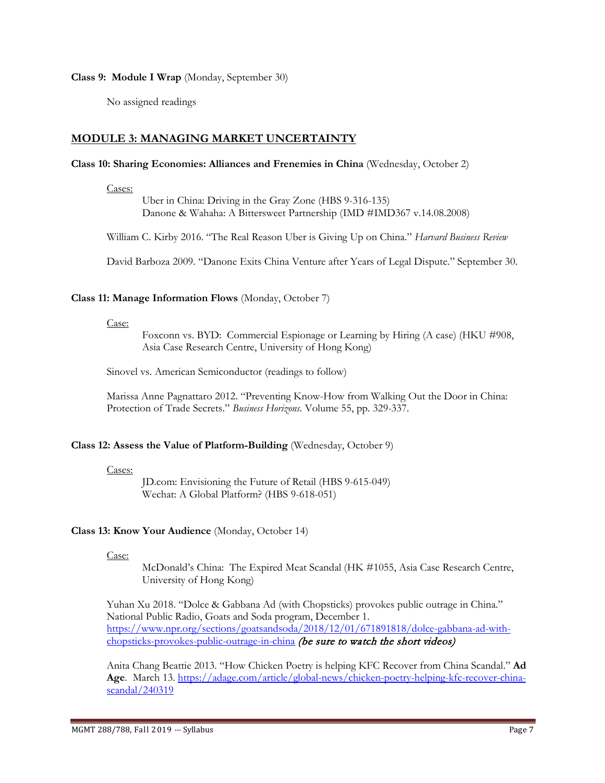**Class 9: Module I Wrap** (Monday, September 30)

No assigned readings

# **MODULE 3: MANAGING MARKET UNCERTAINTY**

## **Class 10: Sharing Economies: Alliances and Frenemies in China** (Wednesday, October 2)

Cases:

Uber in China: Driving in the Gray Zone (HBS 9-316-135) Danone & Wahaha: A Bittersweet Partnership (IMD #IMD367 v.14.08.2008)

William C. Kirby 2016. "The Real Reason Uber is Giving Up on China." *Harvard Business Review*

David Barboza 2009. "Danone Exits China Venture after Years of Legal Dispute." September 30.

## **Class 11: Manage Information Flows** (Monday, October 7)

Case:

Foxconn vs. BYD: Commercial Espionage or Learning by Hiring (A case) (HKU #908, Asia Case Research Centre, University of Hong Kong)

Sinovel vs. American Semiconductor (readings to follow)

Marissa Anne Pagnattaro 2012. "Preventing Know-How from Walking Out the Door in China: Protection of Trade Secrets." *Business Horizons*. Volume 55, pp. 329-337.

# **Class 12: Assess the Value of Platform-Building** (Wednesday, October 9)

### Cases:

JD.com: Envisioning the Future of Retail (HBS 9-615-049) Wechat: A Global Platform? (HBS 9-618-051)

# **Class 13: Know Your Audience** (Monday, October 14)

Case:

McDonald's China: The Expired Meat Scandal (HK #1055, Asia Case Research Centre, University of Hong Kong)

Yuhan Xu 2018. "Dolce & Gabbana Ad (with Chopsticks) provokes public outrage in China." National Public Radio, Goats and Soda program, December 1. [https://www.npr.org/sections/goatsandsoda/2018/12/01/671891818/dolce-gabbana-ad-with](https://www.npr.org/sections/goatsandsoda/2018/12/01/671891818/dolce-gabbana-ad-with-chopsticks-provokes-public-outrage-in-china)[chopsticks-provokes-public-outrage-in-china](https://www.npr.org/sections/goatsandsoda/2018/12/01/671891818/dolce-gabbana-ad-with-chopsticks-provokes-public-outrage-in-china) (be sure to watch the short videos)

Anita Chang Beattie 2013. "How Chicken Poetry is helping KFC Recover from China Scandal." **Ad Age**. March 13. [https://adage.com/article/global-news/chicken-poetry-helping-kfc-recover-china](https://adage.com/article/global-news/chicken-poetry-helping-kfc-recover-china-scandal/240319)[scandal/240319](https://adage.com/article/global-news/chicken-poetry-helping-kfc-recover-china-scandal/240319)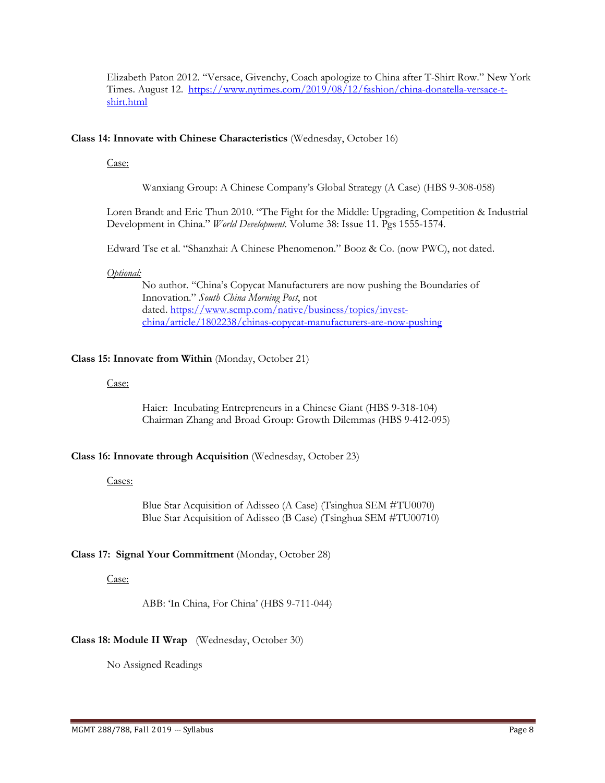Elizabeth Paton 2012. "Versace, Givenchy, Coach apologize to China after T-Shirt Row." New York Times. August 12. [https://www.nytimes.com/2019/08/12/fashion/china-donatella-versace-t](https://www.nytimes.com/2019/08/12/fashion/china-donatella-versace-t-shirt.html)[shirt.html](https://www.nytimes.com/2019/08/12/fashion/china-donatella-versace-t-shirt.html)

## **Class 14: Innovate with Chinese Characteristics** (Wednesday, October 16)

Case:

Wanxiang Group: A Chinese Company's Global Strategy (A Case) (HBS 9-308-058)

Loren Brandt and Eric Thun 2010. "The Fight for the Middle: Upgrading, Competition & Industrial Development in China." *World Development.* Volume 38: Issue 11. Pgs 1555-1574.

Edward Tse et al. "Shanzhai: A Chinese Phenomenon." Booz & Co. (now PWC), not dated.

## *Optional:*

No author. "China's Copycat Manufacturers are now pushing the Boundaries of Innovation." *South China Morning Post*, not dated. [https://www.scmp.com/native/business/topics/invest](https://www.scmp.com/native/business/topics/invest-china/article/1802238/chinas-copycat-manufacturers-are-now-pushing)[china/article/1802238/chinas-copycat-manufacturers-are-now-pushing](https://www.scmp.com/native/business/topics/invest-china/article/1802238/chinas-copycat-manufacturers-are-now-pushing)

## **Class 15: Innovate from Within** (Monday, October 21)

Case:

Haier: Incubating Entrepreneurs in a Chinese Giant (HBS 9-318-104) Chairman Zhang and Broad Group: Growth Dilemmas (HBS 9-412-095)

# **Class 16: Innovate through Acquisition** (Wednesday, October 23)

Cases:

Blue Star Acquisition of Adisseo (A Case) (Tsinghua SEM #TU0070) Blue Star Acquisition of Adisseo (B Case) (Tsinghua SEM #TU00710)

# **Class 17: Signal Your Commitment** (Monday, October 28)

Case:

ABB: 'In China, For China' (HBS 9-711-044)

# **Class 18: Module II Wrap** (Wednesday, October 30)

No Assigned Readings